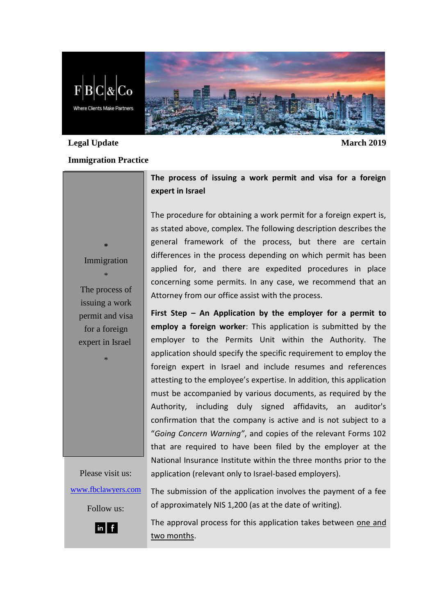

## **Legal Update March 2019**

## **Immigration Practice**

**\*** Immigration

\* The process of issuing a work permit and visa for a foreign expert in Israel

\*

**The process of issuing a work permit and visa for a foreign expert in Israel**

The procedure for obtaining a work permit for a foreign expert is, as stated above, complex. The following description describes the general framework of the process, but there are certain differences in the process depending on which permit has been applied for, and there are expedited procedures in place concerning some permits. In any case, we recommend that an Attorney from our office assist with the process.

**First Step – An Application by the employer for a permit to employ a foreign worker**: This application is submitted by the employer to the Permits Unit within the Authority. The application should specify the specific requirement to employ the foreign expert in Israel and include resumes and references attesting to the employee's expertise. In addition, this application must be accompanied by various documents, as required by the Authority, including duly signed affidavits, an auditor's confirmation that the company is active and is not subject to a "*Going Concern Warning"*, and copies of the relevant Forms 102 that are required to have been filed by the employer at the National Insurance Institute within the three months prior to the application (relevant only to Israel-based employers).

Please visit us: [www.fbclawyers.com](http://www.fbclawyers.com/)

The submission of the application involves the payment of a fee of approximately NIS 1,200 (as at the date of writing).

 $\ln$   $\mid$  f  $\mid$ 

Follow us:

The approval process for this application takes between one and two months.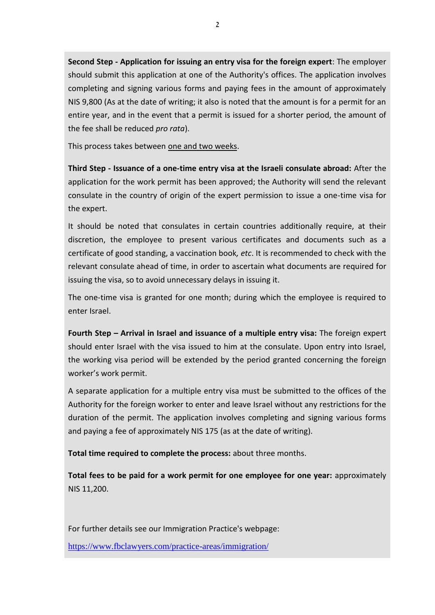**Second Step - Application for issuing an entry visa for the foreign expert**: The employer should submit this application at one of the Authority's offices. The application involves completing and signing various forms and paying fees in the amount of approximately NIS 9,800 (As at the date of writing; it also is noted that the amount is for a permit for an entire year, and in the event that a permit is issued for a shorter period, the amount of the fee shall be reduced *pro rata*).

This process takes between one and two weeks.

**Third Step - Issuance of a one-time entry visa at the Israeli consulate abroad:** After the application for the work permit has been approved; the Authority will send the relevant consulate in the country of origin of the expert permission to issue a one-time visa for the expert.

It should be noted that consulates in certain countries additionally require, at their discretion, the employee to present various certificates and documents such as a certificate of good standing, a vaccination book*, etc*. It is recommended to check with the relevant consulate ahead of time, in order to ascertain what documents are required for issuing the visa, so to avoid unnecessary delays in issuing it.

The one-time visa is granted for one month; during which the employee is required to enter Israel.

**Fourth Step – Arrival in Israel and issuance of a multiple entry visa:** The foreign expert should enter Israel with the visa issued to him at the consulate. Upon entry into Israel, the working visa period will be extended by the period granted concerning the foreign worker's work permit.

A separate application for a multiple entry visa must be submitted to the offices of the Authority for the foreign worker to enter and leave Israel without any restrictions for the duration of the permit. The application involves completing and signing various forms and paying a fee of approximately NIS 175 (as at the date of writing).

**Total time required to complete the process:** about three months.

**Total fees to be paid for a work permit for one employee for one year:** approximately NIS 11,200.

For further details see our Immigration Practice's webpage:

<https://www.fbclawyers.com/practice-areas/immigration/>